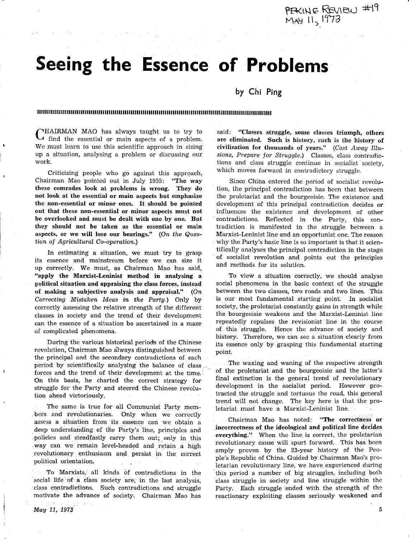May 11, 1973

tion ahead victoriously Thc same is true for all Communist Party members and revolutionaries. Only when we correctly assess a situation from its essence can we obtain <sup>a</sup> deep understanding of the Party's line, principles and .policies and steadfastly carry them out; only in this way can we remain level-headed and retain a high revolutionary enthusiasm and persist in the conrect political orientation.

To Marxists, all kinds of contradictions in the social life of a class society are, in the last analysis, class contradietions. Such contradictions and struggle motivate the advance of society. Chairman Mao has

the principal and the secondary contradictions of each period by scientifically analysing the balance of class forces and the trend of their development at the time. On this basis, he charted the correct strategy for struggle for the Party and. steered the Chinese revolu-

During the various historical periods of the Chinese revolution, Chairman Mao always distinguished between

the non-essential or minor ones. It should be pointed out that these non-essential or minor aspects must not be overlooked and must be dealt with one by one. But they should not be taken as the essential or main aspects, or we will lose our bearings." (On the Questian of Agricultural Co-operation.) In estirnating a situation, we must try to grasp its essence and mainstream before we can size it up correctly. We must, as Chairman Mao has said, "apply the Marxist-Leninist method in analysing <sup>a</sup> political situation and appraising the class forces, instead of making a subjective analysis and appraisal." (On Correcting Mistaken Ideas in the Party.) Only by correctly assessing the relative strength of the different

classes in society and the trend of their development can the essence of a situation be ascertained in a maze

of complicated phenomena.

**CHAIRMAN MAO** has always taught us to try to find the essential or main aspects of a problem. Criticizing people who go against this approach,

We must learn to use this scientific approach in sizing up a situation, analysing a problem or discussing our work. Chairman Mao pointed out in July 1955: "The way

these comrades look at problems is wrong. They do not look at the essential or main aspects but emphasize

by Chi Ping lllll!,ll!!M!lllllllllillill!llllllllIUllHullllililil1til!illt1ililfiilr!llr!ilt!ilr!Iilt!ullilil1ililililIlil1

Seeing the Essence of Problems

said: "Classes struggle, some classes triumph, others are eliminated. Such is history, such is the history of civilization for thousands of years."  $(Cast \t_{A} way \t_{I}llu$ sions, Prepare for Struggle.) Classes, class contradictions and class struggle continue in socialist society, which moves forward in contradictory struggle.

Since China entered the period of socialist revolution, the principal contradiction has been that between the proletariat and the bourgeoisie. The existence and development of this prineipal contradiction decides or infLuences the existence and development of other contradictions. Reflected in the Party, this contradiction is manifested in fhe struggle between <sup>a</sup> Marxist-Leninist line and an opportunist one. The reason why the Party's basic line is so important is that it scientifically analyses the principal contradiction in the stage of socialist revolution and points out the principles and methods for its solution.

To view a situation correctly, we should analyse social phenomena in the basic context of the struggle between the two classes, two roads and two lines. This is. our most fundamental stariing point. In socialist society, the proletariat constantly gains in strength while the bourgeoisie weakens and the Marxist-Leninist line repeatedly repulses the revisionist line in the course of this struggle. Hence the advance of society and history, Therefore, we can see a situation clearly from its essence only by grasping this fundamental starting point.

The waxing and waning of the respective strength of the proletariat and the bourgeoisie and the latter's final extinction is the general trend of revolutionary development in the socialist period. However protracted the struggle and tortuous the road, this general trend will not change. The key here is that the proletariat must have a Marxist-Leninist line.

Chairman Mao has noted: "The correctness or incorrectness of the ideological and political line decides everything." When the line is correct, the proletarian revolutionary cause will spurt forward. This has been amply proven by the 23-year history of the People's Republic of China. Guided by.Chairman Mao?s proletarian revolutionary line, we have experienced during this period a number of big struggles, including both class struggle in society and line struggle within the Party. Each struggle ended with the strength of the reactionary exploiting classes seriously weakened and

5

## PEACINE REVIEW #1 MAY 11<sub>5.</sub>1773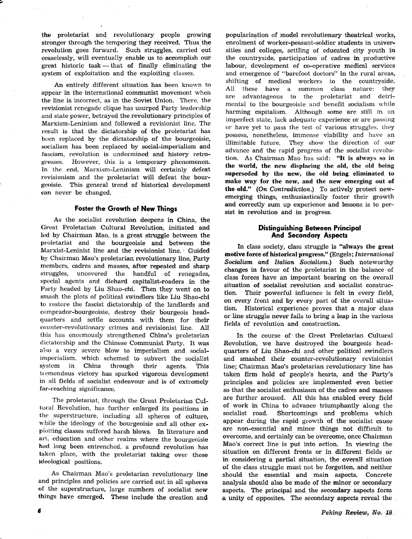the proletariat and revolutionary people growing stronger through the tempering they received. Thus the revolution goes forward. Such struggles, carried out ceaselessly, will eventually enable us to aceomplish our great historic task - that of finally eliminating the great mstoric task — that of finally eliminating<br>system of exploitation and the exploiting classes

An entirely different situation has been known to appear in the international communist movement when the line is incorreet, as in the Soviet Union. There, the revisionist renegade clique has usurped Party leadership and state power, betrayed the revolutionary principles of Marxism-Leninism and followed a revisionist line. The result is that the dictatorship of the proletariat has been replaced by the dictatorship of the bourgeoisie, socialism has been replaced by social-imperialism and fascism, revolution is undermined and history retrogresses. However, this is a temporary phenomenon. In the end, Marxism-Leninism will certainly defeat revisionism and the proletariat will defeat the bourgeoisie. This general trend of historical development can never be changed.

## Foster the Growth of New Things

As the socialist revolution deepens in China, the Great Proletarian Cultural Revolution, initiated and led by Chairman Mao, is a great struggle between the proletariat and the bourgeoisie and between the Marxist-Leninist line and the revisionist line. Guided by Chairman Mao's proletarian revolutionary line, Party members, cadres and masses, after repeated and sharp struggles, uncovered the handful of renegades, special agents and diehard capitalist-roaders in the Party headed by Liu Shao-chi. Then they went on to smash the plots of political swindlers like Liu Shao-chi to restore the fascist dictatorship of the landlords and comprador-bourgeoisie, destroy their bourgeois headquarters and settle accounts with them for their cournter-revolutionary crimes and revisionist line. AU this has enormously strengthened China's proletarian dictatorship and the Chinese Communist Party. It was also a very severe blow to imperialism and socialimperialism, which schemed to subvert the socialist<br>system in China through their agents. This China through their agents. This tremendous victory has sparked vigorous development in all fields of socialist endeavour and is of extremely far-reaching significance.

The proletariat, through the Great Proletarian Cultural Revolution, has further enlarged its positions in the superstructure, including all spheres of culture, while the ideology of the bourgeoisie and all other expioiting classes suffered harsh blows. In literature and art. education and other realms where the bourgeoisie had long been entrenched, a profound revolution has taken place, with the proletariat taking over these ideological positions.

As Chairman Mao's proletarian revolutionary line and principles and policies are carried out in all spheres of the superstructure, large numbers of socialist new things have emerged. These include the creation and

popu]arization of model revolutionary theatrieal works, enrolment of worker-peasant-soldier students in universities and eolleges, settling of educated city youth in the countryside, participation of cadres in productive labour, development of co-operative medical services and emergence of "barefoot doctors" in the rural areas, shifting of medical workers to the countryside.<br>All these have a common class nature: they these have a common class nature: they are advantageous to the proletariat and detrimental to the bourgeoisie and benefit socialism while harming capitalism. Although some are still in an imperfect state, lack adequate experience or are passing or have yet to pass the test o{ various struggles. they possess, nonetheless, immense viability and have an illimitable future. They show the direction of our advance and the rapid progress of the socialist revolution. As Chairman Mao has said: \*It is always so in the world, the new displacing the old, the old being superseded by the new, the old being eliminated to make way for the new, and the new emerging out of the old."  $(On\ Contraction.)$  To actively protect newemerging things, eathusiastically foster their growth and correctly sum up experience and lessons is to persist in revolution and in progress.

## Distinguishing Between Principal And Secondory Aspects

In class society, class sttuggle is "always the great motive force of historical progress." {Engels; International Socialism and Italian Socialism.) Such noteworthy changes in favour of the proletariat in the balance of class forees have an important bearing on the oyerall situation of socialist revolution and socialist construction. Their powerful influence is felt in every field, on every front and by every part of the overall situation. Historical experience proves that a major class or line struggle never fails to bring a leap in the various fields of revolution and construction.

In the course of ' the Great Proletarian Cultural Revolution, we have destroyed the bourgeois headquarters of Liu Shao-chi and other political swindlers and smashed their counter-revolutionary revisionist line; Chairman Mao's proletarian revolutionary line has taken firm hold of people's hearts, and the Party's principles and policies are implemented even better so that the socialist enthusiasm of the cadres and masses are further aroused. All this has enabled every field of work in China to advance triumphantly along the soeialist road. Shortcomings and problems which appear during the rapid growth of the soeialist cause are non-essential and minor things not difficult to overcome, and certainly can be overcome, once Chairman Mao's correct line is put into action. In viewing the situation on different fronts or in different fields or in considering a partial situation, the overall situation of the elass struggle must not be forgotten, and neither should the essential and main aspects. Concrete analysis should also be made of the minor or secondary aspects. The principal and the secondary aspects form a unity of opposites. The secondary aspects reveal the

G